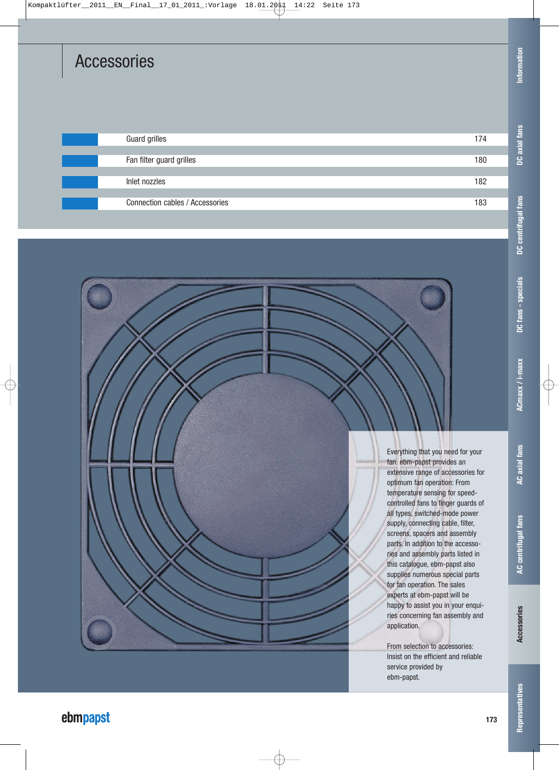### Accessories

| <b>Guard grilles</b>            | 174 |
|---------------------------------|-----|
|                                 |     |
| Fan filter guard grilles        | 180 |
|                                 |     |
| Inlet nozzles                   | 182 |
|                                 |     |
| Connection cables / Accessories | 183 |
|                                 |     |

Information **Information**

**DC axial fans**

DC axial fans

Everything that you need for your fan. ebm-papst provides an extensive range of accessories for optimum fan operation: From temperature sensing for speedcontrolled fans to finger guards of all types, switched-mode power supply, connecting cable, filter, screens, spacers and assembly parts. In addition to the accessories and assembly parts listed in this catalogue, ebm-papst also supplies numerous special parts for fan operation. The sales experts at ebm-papst will be happy to assist you in your enquiries concerning fan assembly and

application.

service provided by ebm-papst.

From selection to accessories: Insist on the efficient and reliable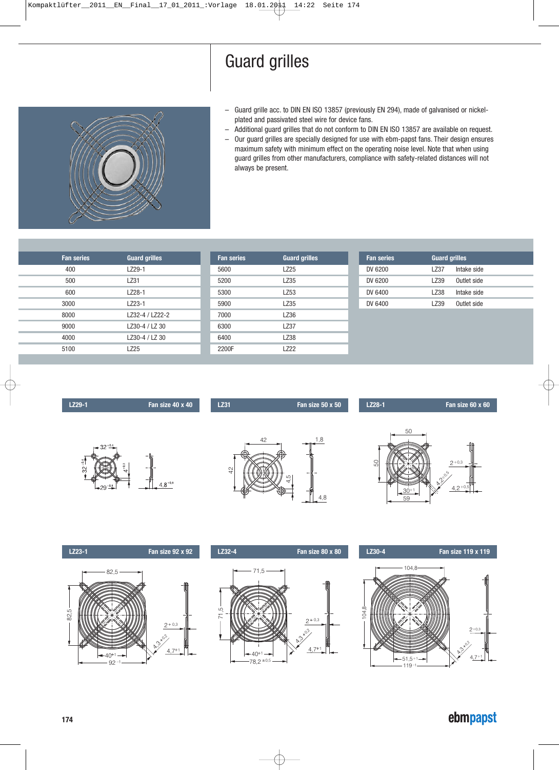

- Guard grille acc. to DIN EN ISO 13857 (previously EN 294), made of galvanised or nickelplated and passivated steel wire for device fans.
- Additional guard grilles that do not conform to DIN EN ISO 13857 are available on request.
- Our guard grilles are specially designed for use with ebm-papst fans. Their design ensures maximum safety with minimum effect on the operating noise level. Note that when using guard grilles from other manufacturers, compliance with safety-related distances will not always be present.

| <b>Fan series</b> | <b>Guard grilles</b> | <b>Fan series</b> | <b>Guard grilles</b> | <b>Fan series</b> | <b>Guard grilles</b> |  |
|-------------------|----------------------|-------------------|----------------------|-------------------|----------------------|--|
| 400               | LZ29-1               | 5600              | LZ25                 | DV 6200           | LZ37<br>Intake side  |  |
| 500               | LZ31                 | 5200              | LZ35                 | DV 6200           | LZ39<br>Outlet side  |  |
| 600               | LZ28-1               | 5300              | LZ53                 | DV 6400           | LZ38<br>Intake side  |  |
| 3000              | LZ23-1               | 5900              | LZ35                 | DV 6400           | LZ39<br>Outlet side  |  |
| 8000              | LZ32-4 / LZ22-2      | 7000              | LZ36                 |                   |                      |  |
| 9000              | LZ30-4 / LZ 30       | 6300              | <b>LZ37</b>          |                   |                      |  |
| 4000              | LZ30-4 / LZ 30       | 6400              | LZ38                 |                   |                      |  |
| 5100              | LZ25                 | 2200F             | LZ22                 |                   |                      |  |
|                   |                      |                   |                      |                   |                      |  |



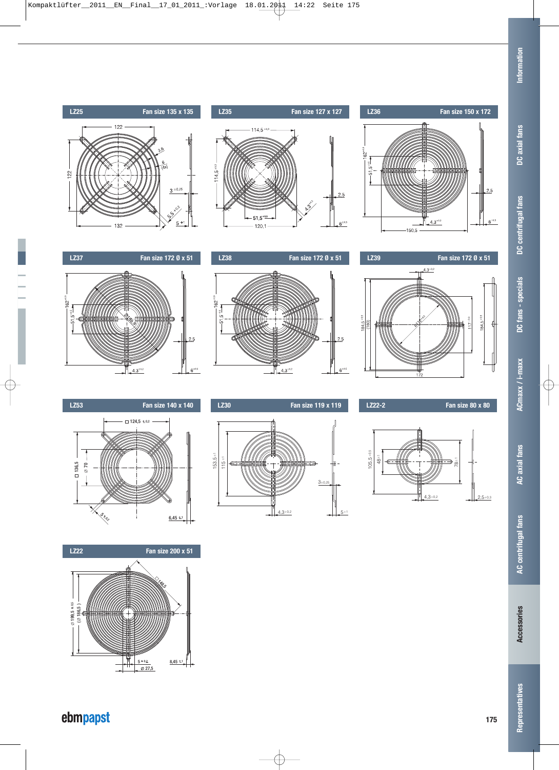**DC axial fans**

**DC fans - specials**

**ACmaxx / i-maxx**

**AC axial fans**



### ebmpapst

 $0,2$  8,45  $\pm$ 1  $\frac{5+0.2}{\emptyset \ 27,5}$   $\frac{8,45 \ \pm \frac{3}{25}}{3,25 \ \pm \frac{3}{25}}$ 

199,5 186,5 )(

HHK T

 $\frac{1}{\sqrt{2}}$ 

0,5 +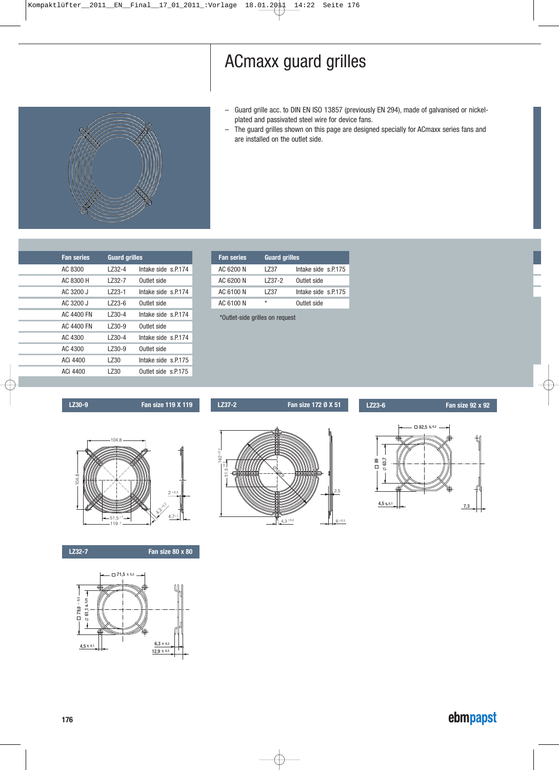## ACmaxx guard grilles

- Guard grille acc. to DIN EN ISO 13857 (previously EN 294), made of galvanised or nickelplated and passivated steel wire for device fans.
- The guard grilles shown on this page are designed specially for ACmaxx series fans and are installed on the outlet side.



| <b>Fan series</b> | <b>Guard grilles</b> |                     |
|-------------------|----------------------|---------------------|
| AC 8300           | 1732-4               | Intake side s.P.174 |
| AC 8300 H         | 1732-7               | Outlet side         |
| AC 3200 J         | l 723-1              | Intake side s.P.174 |
| AC 3200 J         | l 723-6              | Outlet side         |
| AC 4400 FN        | l 730-4              | Intake side s.P.174 |
| AC 4400 FN        | LZ30-9               | Outlet side         |
| AC 4300           | LZ30-4               | Intake side s.P.174 |
| AC 4300           | l 730-9              | Outlet side         |
| ACi 4400          | l 730                | Intake side s.P.175 |
| ACi 4400          | l 730                | Outlet side s.P.175 |
|                   |                      |                     |

| <b>Fan series</b> | <b>Guard grilles</b> |                     |
|-------------------|----------------------|---------------------|
| AC 6200 N         | l 737                | Intake side s.P.175 |
| AC 6200 N         | 1737-2               | Outlet side         |
| AC 6100 N         | l 737                | Intake side s.P.175 |
| AC 6100 N         | ÷                    | Outlet side         |

\*Outlet-side grilles on request



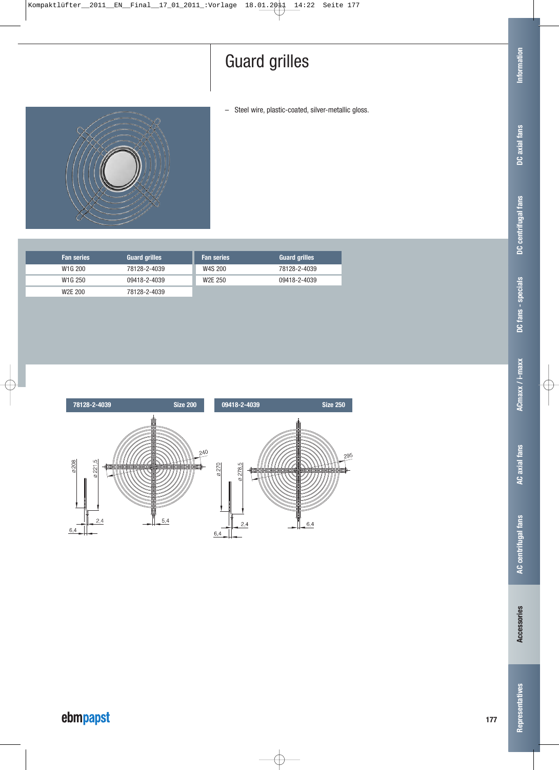– Steel wire, plastic-coated, silver-metallic gloss.



| <b>Fan series</b>    | <b>Guard grilles</b> | <b>Fan series</b>    | <b>Guard grilles</b> |
|----------------------|----------------------|----------------------|----------------------|
| W <sub>1</sub> G 200 | 78128-2-4039         | W4S 200              | 78128-2-4039         |
| W <sub>1</sub> G 250 | 09418-2-4039         | W <sub>2</sub> E 250 | 09418-2-4039         |
| W <sub>2</sub> E 200 | 78128-2-4039         |                      |                      |



**Representatives**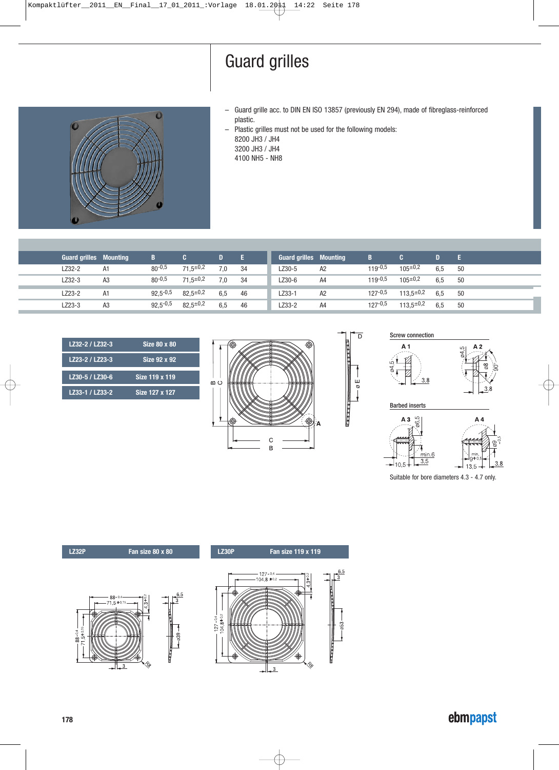- $\overline{\mathbf{0}}$
- Guard grille acc. to DIN EN ISO 13857 (previously EN 294), made of fibreglass-reinforced plastic.

– Plastic grilles must not be used for the following models: 8200 JH3 / JH4 3200 JH3 / JH4 4100 NH5 - NH8

| <b>Guard grilles Mounting</b> |                | 7B 7         |                 | D.  | - E  | <b>Guard grilles Mounting</b> |                | B           |                  |     | - E. |
|-------------------------------|----------------|--------------|-----------------|-----|------|-------------------------------|----------------|-------------|------------------|-----|------|
| LZ32-2                        | A1             | $80^{-0,5}$  | $71.5 \pm 0.2$  | 7,0 | - 34 | LZ30-5                        | A2             | $119 - 0.5$ | $105^{\pm0.2}$   | 6.5 | 50   |
| LZ32-3                        | A3             | $80^{-0.5}$  | $71,5^{\pm0,2}$ | 7,0 | 34   | LZ30-6                        | A <sub>4</sub> | $119 - 0.5$ | $105^{\pm0.2}$   | 6.5 | 50   |
| LZ23-2                        | A1             | $92.5 - 0.5$ | $82.5^{\pm0.2}$ | 6,5 | 46   | LZ33-1                        | A2             | $127 - 0.5$ | $113.5^{\pm0.2}$ | 6.5 | 50   |
| LZ23-3                        | A <sub>3</sub> | $92,5 - 0.5$ | $82,5^{\pm0,2}$ | 6,5 | 46   | LZ33-2                        | A <sub>4</sub> | $127 - 0.5$ | $113.5^{\pm0.2}$ | 6,5 | 50   |
|                               |                |              |                 |     |      |                               |                |             |                  |     |      |

| LZ32-2 / LZ32-3 | Size 80 x 80   |
|-----------------|----------------|
| LZ23-2 / LZ23-3 | Size 92 x 92   |
| LZ30-5 / LZ30-6 | Size 119 x 119 |
| LZ33-1 / LZ33-2 | Size 127 x 127 |









Barbed inserts



Suitable for bore diameters 4.3 - 4.7 only.

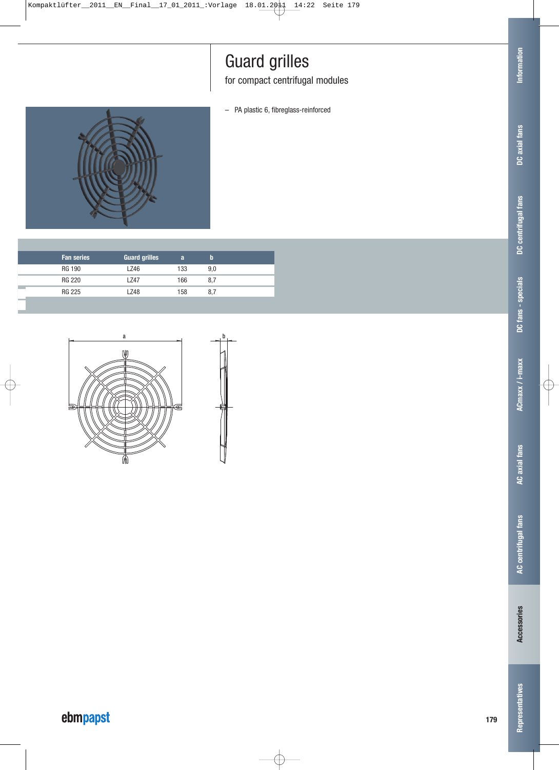for compact centrifugal modules

– PA plastic 6, fibreglass-reinforced



| <b>Fan series</b> | <b>Guard grilles</b> | a   | b   |
|-------------------|----------------------|-----|-----|
| RG 190            | LZ46                 | 133 | 9.0 |
| RG 220            | l 747                | 166 | 8.7 |
| RG 225            | LZ48                 | 158 | 8.7 |



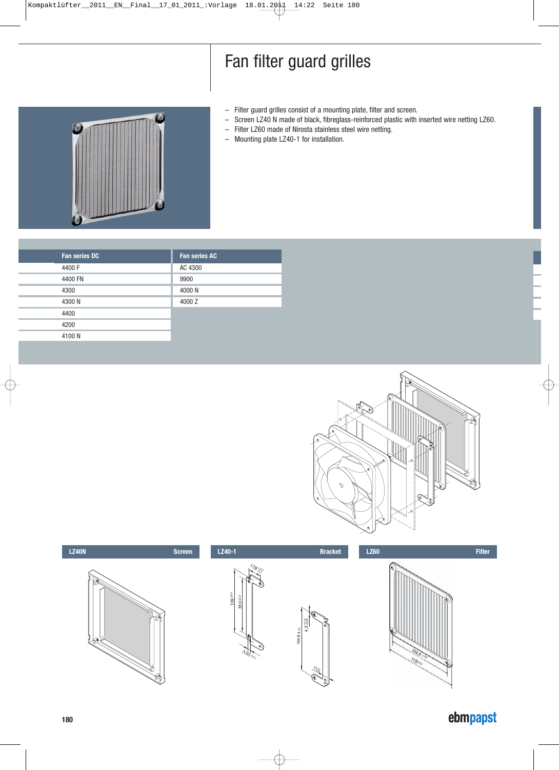# Fan filter guard grilles

- Filter guard grilles consist of a mounting plate, filter and screen.
- Screen LZ40 N made of black, fibreglass-reinforced plastic with inserted wire netting LZ60.
- Filter LZ60 made of Nirosta stainless steel wire netting.
- Mounting plate LZ40-1 for installation.



| <b>Fan series DC</b> | <b>Fan series AC</b> |
|----------------------|----------------------|
| 4400 F               | AC 4300              |
| 4400 FN              | 9900                 |
| 4300                 | 4000 N               |
| 4300 N               | 4000 Z               |
| 4400                 |                      |
| 4200                 |                      |
| 4100N                |                      |
|                      |                      |



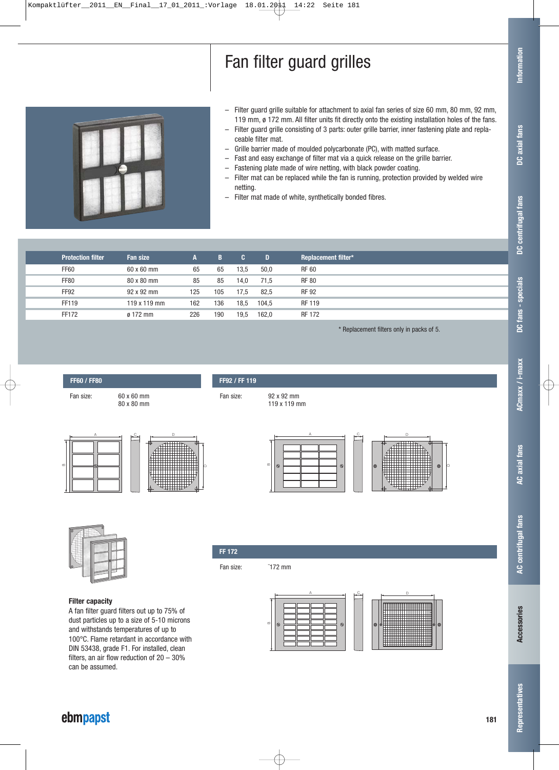# Fan filter guard grilles

Representatives

- Filter guard grille suitable for attachment to axial fan series of size 60 mm, 80 mm, 92 mm, 119 mm, ø 172 mm. All filter units fit directly onto the existing installation holes of the fans.
- Filter guard grille consisting of 3 parts: outer grille barrier, inner fastening plate and replaceable filter mat.
- Grille barrier made of moulded polycarbonate (PC), with matted surface.
- Fast and easy exchange of filter mat via a quick release on the grille barrier.
- Fastening plate made of wire netting, with black powder coating.
- Filter mat can be replaced while the fan is running, protection provided by welded wire netting.
- Filter mat made of white, synthetically bonded fibres.

| <b>Protection filter</b> | Fan size        | A   | B   | IC.  | D     | <b>Replacement filter*</b> |
|--------------------------|-----------------|-----|-----|------|-------|----------------------------|
| <b>FF60</b>              | 60 x 60 mm      | 65  | 65  | 13,5 | 50,0  | <b>RF 60</b>               |
| <b>FF80</b>              | 80 x 80 mm      | 85  | 85  | 14,0 | 71.5  | <b>RF 80</b>               |
| FF <sub>92</sub>         | 92 x 92 mm      | 125 | 105 | 17.5 | 82,5  | <b>RF 92</b>               |
| FF119                    | 119 x 119 mm    | 162 | 136 | 18,5 | 104.5 | <b>RF 119</b>              |
| FF172                    | $\alpha$ 172 mm | 226 | 190 | 19,5 | 162.0 | <b>RF 172</b>              |

\* Replacement filters only in packs of 5.







**FF60 / FF80**

**Filter capacity** A fan filter guard filters out up to 75% of dust particles up to a size of 5-10 microns and withstands temperatures of up to 100°C. Flame retardant in accordance with DIN 53438, grade F1. For installed, clean filters, an air flow reduction of 20 – 30% can be assumed.



**FF92 / FF 119**

Fan size: <sup>-172</sup> mm



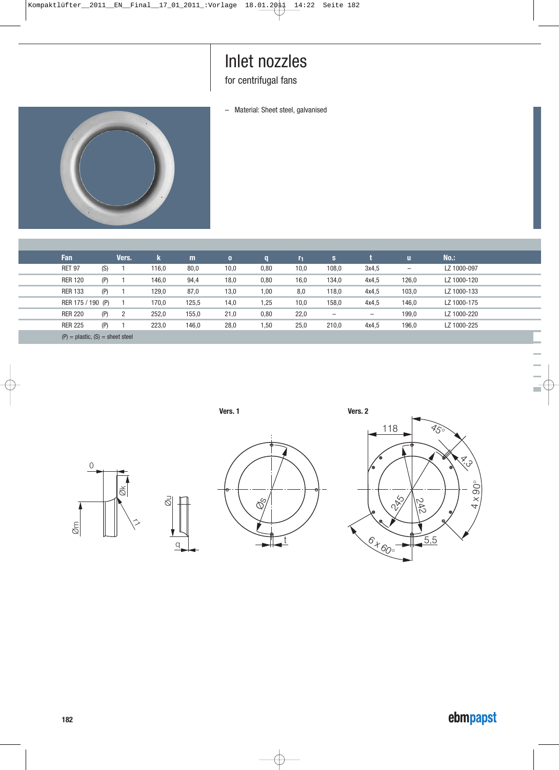### Inlet nozzles

for centrifugal fans

– Material: Sheet steel, galvanised



ł

| Fan                                  |     | Vers. | k.    | m     | $\mathbf{0}$ | a    | r <sub>1</sub> | s     |                   | $\mathbf{u}$             | $No.$ :     |
|--------------------------------------|-----|-------|-------|-------|--------------|------|----------------|-------|-------------------|--------------------------|-------------|
| <b>RET 97</b>                        | (S) |       | 116,0 | 80,0  | 10,0         | 0,80 | 10,0           | 108,0 | 3x4.5             | $\overline{\phantom{0}}$ | LZ 1000-097 |
| <b>RER 120</b>                       | (P) |       | 146,0 | 94,4  | 18,0         | 0,80 | 16,0           | 134,0 | 4x4.5             | 126,0                    | LZ 1000-120 |
| <b>RER 133</b>                       | (P) |       | 129,0 | 87,0  | 13,0         | 1,00 | 8,0            | 118,0 | 4x4.5             | 103,0                    | LZ 1000-133 |
| RER 175 / 190 (P)                    |     |       | 170,0 | 125,5 | 14,0         | .25  | 10,0           | 158,0 | 4x4.5             | 146,0                    | LZ 1000-175 |
| <b>RER 220</b>                       | (P) | 2     | 252,0 | 155,0 | 21,0         | 0,80 | 22,0           | -     | $\qquad \qquad -$ | 199,0                    | LZ 1000-220 |
| <b>RER 225</b>                       | (P) |       | 223,0 | 146,0 | 28,0         | 1,50 | 25,0           | 210,0 | 4x4.5             | 196,0                    | LZ 1000-225 |
| $(P)$ = plastic, $(S)$ = sheet steel |     |       |       |       |              |      |                |       |                   |                          |             |



q

Øu



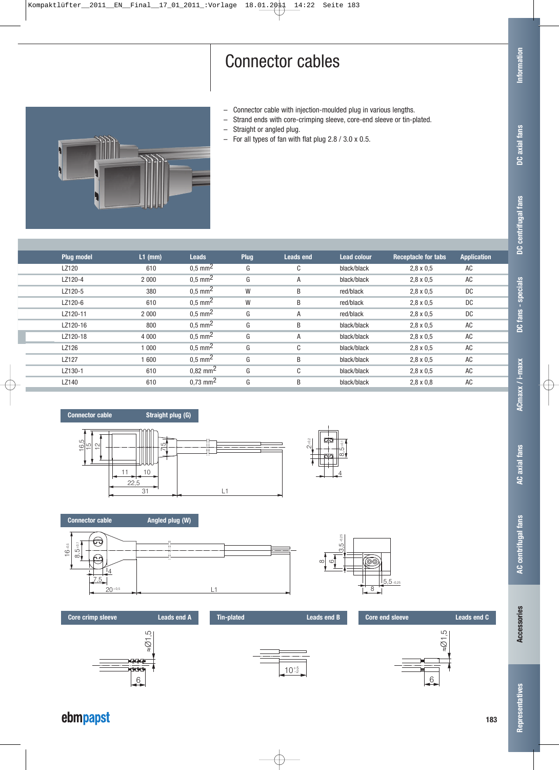## Connector cables

- Connector cable with injection-moulded plug in various lengths.
- Strand ends with core-crimping sleeve, core-end sleeve or tin-plated.
- Straight or angled plug.
- For all types of fan with flat plug 2.8 / 3.0 x 0.5.



| <b>Plug model</b> | $L1$ (mm) | <b>Leads</b>          | <b>Plug</b> | <b>Leads end</b> | <b>Lead colour</b> | <b>Receptacle for tabs</b> | <b>Application</b> |  |
|-------------------|-----------|-----------------------|-------------|------------------|--------------------|----------------------------|--------------------|--|
| LZ120             | 610       | $0.5$ mm <sup>2</sup> | G           | C                | black/black        | $2.8 \times 0.5$           | AC                 |  |
| LZ120-4           | 2 0 0 0   | $0,5 \, \text{mm}^2$  | G           | A                | black/black        | $2.8 \times 0.5$           | AC                 |  |
| LZ120-5           | 380       | $0.5 \text{ mm}^2$    | W           | B                | red/black          | $2.8 \times 0.5$           | DC.                |  |
| LZ120-6           | 610       | $0.5 \text{ mm}^2$    | W           | B                | red/black          | $2.8 \times 0.5$           | DC.                |  |
| LZ120-11          | 2 0 0 0   | $0,5 \text{ mm}^2$    | G           | A                | red/black          | $2.8 \times 0.5$           | <b>DC</b>          |  |
| LZ120-16          | 800       | $0.5 \text{ mm}^2$    | G           | B                | black/black        | $2.8 \times 0.5$           | AC                 |  |
| LZ120-18          | 4 0 0 0   | $0.5 \text{ mm}^2$    | G           | A                | black/black        | $2.8 \times 0.5$           | AC                 |  |
| LZ126             | 1 000     | $0.5 \text{ mm}^2$    | G           | C                | black/black        | $2.8 \times 0.5$           | AC                 |  |
| LZ127             | 1 600     | $0.5 \text{ mm}^2$    | G           | B                | black/black        | $2.8 \times 0.5$           | AC                 |  |
| LZ130-1           | 610       | $0,82 \text{ mm}^2$   | G           | C                | black/black        | $2.8 \times 0.5$           | AC                 |  |
| LZ140             | 610       | $0,73 \text{ mm}^2$   | G           | B                | black/black        | $2,8 \times 0.8$           | AC                 |  |
|                   |           |                       |             |                  |                    |                            |                    |  |



i.











Representatives